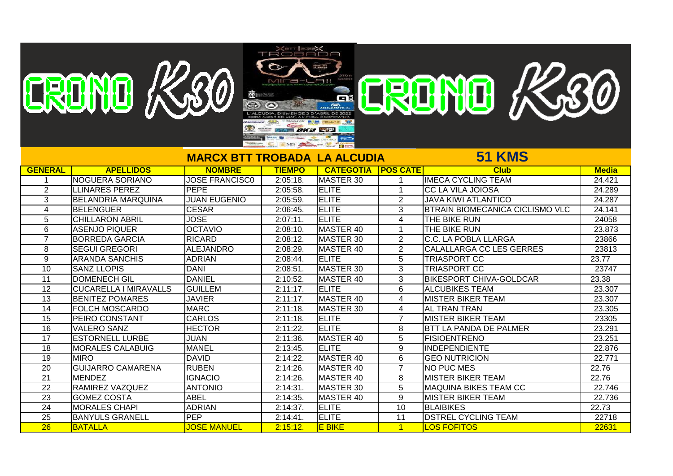|                 |                              |                          | TROBADA                                    |                   |                 |                                        |              |
|-----------------|------------------------------|--------------------------|--------------------------------------------|-------------------|-----------------|----------------------------------------|--------------|
|                 |                              |                          |                                            |                   |                 |                                        |              |
|                 | CRONO K20                    |                          | $MIG = -$                                  |                   |                 | ERENTE K30                             |              |
|                 |                              |                          |                                            |                   |                 |                                        |              |
|                 |                              | 竈                        |                                            | ai                |                 |                                        |              |
|                 |                              |                          |                                            |                   |                 |                                        |              |
|                 |                              |                          |                                            |                   |                 |                                        |              |
|                 |                              | ⊕                        | SYA DXX ST                                 |                   |                 |                                        |              |
|                 |                              |                          |                                            |                   |                 |                                        |              |
|                 |                              |                          | INS And The Property of the Local Division |                   |                 | <b>51 KMS</b>                          |              |
|                 |                              | <b>MARCX BTT TROBADA</b> |                                            | <b>LA ALCUDIA</b> |                 |                                        |              |
| <b>GENERAL</b>  | <b>APELLIDOS</b>             | <b>NOMBRE</b>            | <b>TIEMPO</b>                              | <b>CATEGOTIA</b>  | <b>POS CATE</b> | <b>Club</b>                            | <b>Media</b> |
| -1              | <b>NOGUERA SORIANO</b>       | <b>JOSE FRANCISCO</b>    | $2:05:18$ .                                | MASTER 30         | -1              | <b>IMECA CYCLING TEAM</b>              | 24.421       |
| 2               | <b>LLINARES PEREZ</b>        | <b>PEPE</b>              | 2:05:58.                                   | <b>ELITE</b>      | $\mathbf 1$     | <b>CC LA VILA JOIOSA</b>               | 24.289       |
| 3               | <b>BELANDRIA MARQUINA</b>    | <b>JUAN EUGENIO</b>      | 2:05:59.                                   | <b>ELITE</b>      | $\overline{2}$  | <b>JAVA KIWI ATLANTICO</b>             | 24.287       |
| 4               | <b>BELENGUER</b>             | <b>CESAR</b>             | 2:06:45.                                   | <b>ELITE</b>      | 3               | <b>BTRAIN BIOMECANICA CICLISMO VLC</b> | 24.141       |
| 5               | <b>CHILLARON ABRIL</b>       | <b>JOSE</b>              | 2:07:11                                    | <b>ELITE</b>      | 4               | THE BIKE RUN                           | 24058        |
| 6               | <b>ASENJO PIQUER</b>         | <b>OCTAVIO</b>           | 2:08:10.                                   | MASTER 40         | $\mathbf{1}$    | THE BIKE RUN                           | 23.873       |
| $\overline{7}$  | <b>BORREDA GARCIA</b>        | <b>RICARD</b>            | 2:08:12.                                   | MASTER 30         | $\overline{2}$  | C.C. LA POBLA LLARGA                   | 23866        |
| 8               | <b>SEGUI GREGORI</b>         | <b>ALEJANDRO</b>         | 2:08:29.                                   | MASTER 40         | $\overline{2}$  | CALALLARGA CC LES GERRES               | 23813        |
| 9               | <b>ARANDA SANCHIS</b>        | <b>ADRIAN</b>            | 2:08:44.                                   | <b>ELITE</b>      | $\overline{5}$  | <b>TRIASPORT CC</b>                    | 23.77        |
| 10              | <b>SANZ LLOPIS</b>           | <b>DANI</b>              | 2:08:51                                    | MASTER 30         | 3               | <b>TRIASPORT CC</b>                    | 23747        |
| 11              | <b>DOMENECH GIL</b>          | <b>DANIEL</b>            | 2:10:52.                                   | MASTER 40         | 3               | <b>BIKESPORT CHIVA-GOLDCAR</b>         | 23.38        |
| $\overline{12}$ | <b>CUCARELLA I MIRAVALLS</b> | <b>GUILLEM</b>           | $2:11:17$ .                                | <b>ELITE</b>      | 6               | <b>ALCUBIKES TEAM</b>                  | 23.307       |
| $\overline{13}$ | <b>BENITEZ POMARES</b>       | <b>JAVIER</b>            | $2:11:17$ .                                | MASTER 40         | $\overline{4}$  | <b>MISTER BIKER TEAM</b>               | 23.307       |
| 14              | <b>FOLCH MOSCARDO</b>        | <b>MARC</b>              | $2:11:18$ .                                | MASTER 30         | 4               | AL TRAN TRAN                           | 23.305       |
| $\overline{15}$ | PEIRO CONSTANT               | <b>CARLOS</b>            | $2:11:18$ .                                | <b>ELITE</b>      | $\overline{7}$  | <b>MISTER BIKER TEAM</b>               | 23305        |
| 16              | <b>VALERO SANZ</b>           | <b>HECTOR</b>            | $2:11:22$ .                                | <b>ELITE</b>      | 8               | <b>BTT LA PANDA DE PALMER</b>          | 23.291       |
| $\overline{17}$ | <b>ESTORNELL LURBE</b>       | <b>JUAN</b>              | 2:11:36.                                   | MASTER 40         | 5               | <b>FISIOENTRENO</b>                    | 23.251       |
| $\overline{18}$ | <b>MORALES CALABUIG</b>      | <b>MANEL</b>             | $2:13:45$ .                                | <b>ELITE</b>      | 9               | <b>INDEPENDIENTE</b>                   | 22.876       |
| $\overline{19}$ | <b>MIRO</b>                  | <b>DAVID</b>             | $2:14:22$ .                                | MASTER 40         | 6               | <b>GEO NUTRICION</b>                   | 22.771       |
| $\overline{20}$ | <b>GUIJARRO CAMARENA</b>     | <b>RUBEN</b>             | 2:14:26                                    | MASTER 40         | $\overline{7}$  | <b>NO PUC MES</b>                      | 22.76        |
| $\overline{21}$ | <b>MENDEZ</b>                | <b>IGNACIO</b>           | 2:14:26                                    | MASTER 40         | 8               | <b>MISTER BIKER TEAM</b>               | 22.76        |
| $\overline{22}$ | RAMIREZ VAZQUEZ              | <b>ANTONIO</b>           | 2:14:31.                                   | MASTER 30         | $\overline{5}$  | <b>MAQUINA BIKES TEAM CC</b>           | 22.746       |
| 23              | <b>GOMEZ COSTA</b>           | <b>ABEL</b>              | 2:14:35.                                   | MASTER 40         | 9               | <b>MISTER BIKER TEAM</b>               | 22.736       |
| 24              | <b>MORALES CHAPI</b>         | <b>ADRIAN</b>            | 2:14:37.                                   | <b>ELITE</b>      | 10              | <b>BLAIBIKES</b>                       | 22.73        |
| $\overline{25}$ | <b>BANYULS GRANELL</b>       | <b>PEP</b>               | 2:14:41                                    | <b>ELITE</b>      | 11              | <b>DSTREL CYCLING TEAM</b>             | 22718        |
| $\overline{26}$ | <b>BATALLA</b>               | <b>JOSE MANUEL</b>       | 2:15:12.                                   | <b>E BIKE</b>     | $\mathbf{1}$    | <b>LOS FOFITOS</b>                     | 22631        |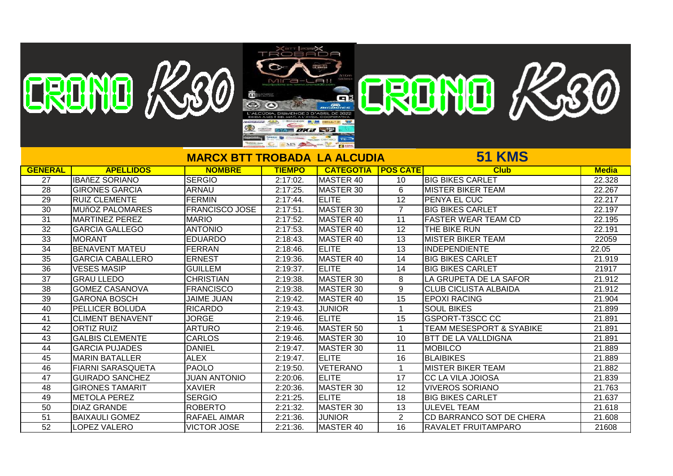|                 | EREINE K20               |                          | MICa-LA!!     |                           |                 | ERENTE K30                          |              |
|-----------------|--------------------------|--------------------------|---------------|---------------------------|-----------------|-------------------------------------|--------------|
|                 |                          |                          |               |                           |                 |                                     |              |
|                 |                          |                          |               |                           |                 |                                     |              |
|                 |                          |                          |               |                           |                 |                                     |              |
|                 |                          |                          |               |                           |                 |                                     |              |
|                 |                          |                          | SYA DK 3 STP  |                           |                 |                                     |              |
|                 |                          |                          |               |                           |                 |                                     |              |
|                 |                          |                          |               |                           |                 |                                     |              |
|                 |                          | <b>MARCX BTT TROBADA</b> |               | <b>LA ALCUDIA</b>         |                 | 51 KMS                              |              |
| <b>GENERAL</b>  | <b>APELLIDOS</b>         | <b>NOMBRE</b>            | <b>TIEMPO</b> | <b>CATEGOTIA POS CATE</b> |                 | <b>Club</b>                         | <b>Media</b> |
| 27              | <b>IBAñEZ SORIANO</b>    | <b>SERGIO</b>            | 2:17:02.      | MASTER 40                 | $\overline{10}$ | <b>BIG BIKES CARLET</b>             | 22.328       |
| 28              | <b>GIRONES GARCIA</b>    | <b>ARNAU</b>             | 2:17:25       | MASTER 30                 | 6               | <b>MISTER BIKER TEAM</b>            | 22.267       |
| $\overline{29}$ | <b>RUIZ CLEMENTE</b>     | <b>FERMIN</b>            | 2:17:44.      | <b>IELITE</b>             | $\overline{12}$ | <b>PENYA EL CUC</b>                 | 22.217       |
| $\overline{30}$ | <b>MUñOZ PALOMARES</b>   | <b>FRANCISCO JOSE</b>    | 2:17:51       | MASTER 30                 | $\overline{7}$  | <b>BIG BIKES CARLET</b>             | 22.197       |
| 31              | <b>MARTINEZ PEREZ</b>    | <b>MARIO</b>             | 2:17:52       | MASTER 40                 | 11              | <b>FASTER WEAR TEAM CD</b>          | 22.195       |
| $\overline{32}$ | <b>GARCIA GALLEGO</b>    | <b>ANTONIO</b>           | 2:17:53.      | MASTER 40                 | 12              | THE BIKE RUN                        | 22.191       |
| 33              | <b>MORANT</b>            | <b>EDUARDO</b>           | 2:18:43.      | MASTER 40                 | 13              | <b>MISTER BIKER TEAM</b>            | 22059        |
| $\overline{34}$ | <b>BENAVENT MATEU</b>    | <b>FERRAN</b>            | 2:18:46.      | <b>IELITE</b>             | 13              | <b>INDEPENDIENTE</b>                | 22.05        |
| 35              | <b>GARCIA CABALLERO</b>  | <b>ERNEST</b>            | 2:19:36.      | MASTER 40                 | $\overline{14}$ | <b>BIG BIKES CARLET</b>             | 21.919       |
| 36              | <b>VESES MASIP</b>       | <b>GUILLEM</b>           | 2:19:37.      | <b>IELITE</b>             | 14              | <b>BIG BIKES CARLET</b>             | 21917        |
| $\overline{37}$ | <b>GRAU LLEDO</b>        | <b>CHRISTIAN</b>         | 2:19:38.      | MASTER 30                 | 8               | LA GRUPETA DE LA SAFOR              | 21.912       |
| $\overline{38}$ | <b>GOMEZ CASANOVA</b>    | <b>FRANCISCO</b>         | 2:19:38.      | MASTER 30                 | 9               | <b>CLUB CICLISTA ALBAIDA</b>        | 21.912       |
| 39              | <b>GARONA BOSCH</b>      | <b>JAIME JUAN</b>        | 2:19:42.      | MASTER 40                 | $\overline{15}$ | <b>EPOXI RACING</b>                 | 21.904       |
| 40              | PELLICER BOLUDA          | <b>RICARDO</b>           | 2:19:43.      | <b>JUNIOR</b>             | $\mathbf{1}$    | <b>SOUL BIKES</b>                   | 21.899       |
| $\overline{41}$ | <b>CLIMENT BENAVENT</b>  | <b>JORGE</b>             | 2:19:46.      | <b>IELITE</b>             | 15              | <b>GSPORT-T3SCC CC</b>              | 21.891       |
| $\overline{42}$ | <b>ORTIZ RUIZ</b>        | <b>ARTURO</b>            | 2:19:46.      | MASTER 50                 | $\mathbf 1$     | <b>TEAM MESESPORT &amp; SYABIKE</b> | 21.891       |
| 43              | <b>GALBIS CLEMENTE</b>   | <b>CARLOS</b>            | 2:19:46.      | MASTER 30                 | 10              | <b>BTT DE LA VALLDIGNA</b>          | 21.891       |
| $\overline{44}$ | <b>GARCIA PUJADES</b>    | <b>DANIEL</b>            | 2:19:47.      | MASTER 30                 | 11              | <b>MOBILCO</b>                      | 21.889       |
| $\overline{45}$ | <b>MARIN BATALLER</b>    | <b>ALEX</b>              | 2:19:47.      | <b>ELITE</b>              | 16              | <b>BLAIBIKES</b>                    | 21.889       |
| 46              | <b>FIARNI SARASQUETA</b> | <b>PAOLO</b>             | 2:19:50.      | <b>VETERANO</b>           | $\mathbf{1}$    | <b>MISTER BIKER TEAM</b>            | 21.882       |
| 47              | <b>GUIRADO SANCHEZ</b>   | <b>JUAN ANTONIO</b>      | 2:20:06.      | <b>IELITE</b>             | 17              | CC LA VILA JOIOSA                   | 21.839       |
| 48              | <b>GIRONES TAMARIT</b>   | <b>XAVIER</b>            | 2:20:36.      | MASTER 30                 | $\overline{12}$ | <b>VIVEROS SORIANO</b>              | 21.763       |
| 49              | <b>METOLA PEREZ</b>      | <b>SERGIO</b>            | 2:21:25       | <b>IELITE</b>             | $\overline{18}$ | <b>BIG BIKES CARLET</b>             | 21.637       |
| 50              | <b>DIAZ GRANDE</b>       | <b>ROBERTO</b>           | 2:21:32.      | MASTER 30                 | 13              | <b>ULEVEL TEAM</b>                  | 21.618       |
| $\overline{51}$ | <b>BAIXAULI GOMEZ</b>    | <b>RAFAEL AIMAR</b>      | 2:21:36.      | <b>JUNIOR</b>             | $\overline{2}$  | CD BARRANCO SOT DE CHERA            | 21.608       |
| $\overline{52}$ | <b>LOPEZ VALERO</b>      | <b>VICTOR JOSE</b>       | 2:21:36.      | MASTER 40                 | 16              | <b>RAVALET FRUITAMPARO</b>          | 21608        |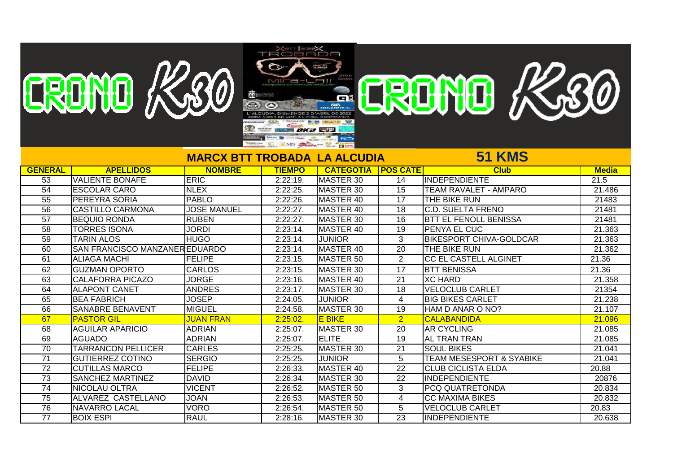|                 | EREINE K20                     |                                     | $\circ$             |                      |                 |                                     |              |
|-----------------|--------------------------------|-------------------------------------|---------------------|----------------------|-----------------|-------------------------------------|--------------|
|                 |                                |                                     | MICa-LAII           |                      |                 | ERDNO K.30                          |              |
|                 |                                |                                     |                     |                      |                 |                                     |              |
|                 |                                | 讟                                   |                     |                      |                 |                                     |              |
|                 |                                |                                     |                     |                      |                 |                                     |              |
|                 |                                |                                     |                     |                      |                 |                                     |              |
|                 |                                |                                     | <b>SYA DXXX STP</b> |                      |                 |                                     |              |
|                 |                                |                                     | MS A SALE           |                      |                 |                                     |              |
|                 |                                |                                     |                     |                      |                 |                                     |              |
|                 |                                | <b>MARCX BTT TROBADA LA ALCUDIA</b> |                     |                      |                 | <b>51 KMS</b>                       |              |
| <b>GENERAL</b>  | <b>APELLIDOS</b>               | <b>NOMBRE</b>                       | <b>TIEMPO</b>       | <b>CATEGOTIA</b>     | <b>POS CATE</b> | <b>Club</b>                         | <b>Media</b> |
| $\overline{53}$ | <b>VALIENTE BONAFE</b>         | <b>ERIC</b>                         | $2:22:19$ .         | MASTER 30            | 14              | INDEPENDIENTE                       | 21.5         |
| $\overline{54}$ | <b>ESCOLAR CARO</b>            | <b>NLEX</b>                         | 2:22:25             | MASTER 30            | 15              | <b>TEAM RAVALET - AMPARO</b>        | 21.486       |
| 55              | <b>PEREYRA SORIA</b>           | PABLO                               | 2:22:26             | MASTER 40            | 17              | <b>THE BIKE RUN</b>                 | 21483        |
| $\overline{56}$ | <b>CASTILLO CARMONA</b>        | <b>JOSE MANUEL</b>                  | $2:22:27$ .         | MASTER 40            | 18              | <b>C.D. SUELTA FRENO</b>            | 21481        |
| 57              | <b>BEQUIO RONDA</b>            | <b>RUBEN</b>                        | 2:22:27             | MASTER 30            | 16              | <b>BTT EL FENOLL BENISSA</b>        | 21481        |
| $\overline{58}$ | <b>TORRES ISONA</b>            | <b>JORDI</b>                        | $2:23:14$ .         | MASTER 40            | 19              | PENYA EL CUC                        | 21.363       |
| 59              | <b>TARIN ALOS</b>              | <b>HUGO</b>                         | 2:23:14.            | <b>JUNIOR</b>        | 3               | <b>BIKESPORT CHIVA-GOLDCAR</b>      | 21.363       |
| 60              | SAN FRANCISCO MANZANER EDUARDO |                                     | 2:23:14.            | MASTER 40            | 20              | THE BIKE RUN                        | 21.362       |
| $\overline{61}$ | <b>ALIAGA MACHI</b>            | <b>FELIPE</b>                       | 2:23:15             | MASTER <sub>50</sub> | $\overline{2}$  | <b>CC EL CASTELL ALGINET</b>        | 21.36        |
| 62              | <b>GUZMAN OPORTO</b>           | <b>CARLOS</b>                       | 2:23:15             | MASTER 30            | $\overline{17}$ | <b>BTT BENISSA</b>                  | 21.36        |
| 63              | <b>CALAFORRA PICAZO</b>        | <b>JORGE</b>                        | 2:23:16.            | MASTER 40            | $\overline{21}$ | <b>XC HARD</b>                      | 21.358       |
| 64              | <b>ALAPONT CANET</b>           | <b>ANDRES</b>                       | 2:23:17.            | MASTER 30            | 18              | <b>VELOCLUB CARLET</b>              | 21354        |
| 65              | <b>BEA FABRICH</b>             | <b>JOSEP</b>                        | 2:24:05.            | <b>JUNIOR</b>        | $\overline{4}$  | <b>BIG BIKES CARLET</b>             | 21.238       |
| 66              | <b>SANABRE BENAVENT</b>        | <b>MIGUEL</b>                       | 2:24:58.            | MASTER 30            | 19              | HAM D ANAR O NO?                    | 21.107       |
| 67              | <b>PASTOR GIL</b>              | <b>JUAN FRAN</b>                    | 2:25:02             | E BIKE               | $\overline{2}$  | <b>CALABANDIDA</b>                  | 21.096       |
| 68              | <b>AGUILAR APARICIO</b>        | <b>ADRIAN</b>                       | 2:25:07.            | MASTER 30            | 20              | <b>AR CYCLING</b>                   | 21.085       |
| 69              | <b>AGUADO</b>                  | <b>ADRIAN</b>                       | 2:25:07.            | <b>IELITE</b>        | $\overline{19}$ | <b>AL TRAN TRAN</b>                 | 21.085       |
| $\overline{70}$ | <b>TARRANCON PELLICER</b>      | <b>CARLES</b>                       | 2:25:25.            | MASTER 30            | $\overline{21}$ | <b>SOUL BIKES</b>                   | 21.041       |
| $\overline{71}$ | <b>GUTIERREZ COTINO</b>        | <b>SERGIO</b>                       | 2:25:25             | <b>JUNIOR</b>        | 5               | <b>TEAM MESESPORT &amp; SYABIKE</b> | 21.041       |
| 72              | <b>CUTILLAS MARCO</b>          | <b>FELIPE</b>                       | 2:26:33.            | MASTER 40            | 22              | <b>CLUB CICLISTA ELDA</b>           | 20.88        |
| 73              | <b>SANCHEZ MARTINEZ</b>        | <b>DAVID</b>                        | 2:26:34.            | MASTER 30            | 22              | INDEPENDIENTE                       | 20876        |
| 74              | <b>NICOLAU OLTRA</b>           | <b>VICENT</b>                       | 2:26:52.            | MASTER 50            | 3               | <b>PCQ QUATRETONDA</b>              | 20.834       |
| $\overline{75}$ | ALVAREZ CASTELLANO             | <b>JOAN</b>                         | 2:26:53.            | MASTER 50            | 4               | <b>CC MAXIMA BIKES</b>              | 20.832       |
| 76              | <b>NAVARRO LACAL</b>           | <b>VORO</b>                         | 2:26:54.            | MASTER 50            | 5               | <b>VELOCLUB CARLET</b>              | 20.83        |
| $\overline{77}$ | <b>BOIX ESPI</b>               | <b>RAUL</b>                         | 2:28:16.            | MASTER 30            | $\overline{23}$ | INDEPENDIENTE                       | 20.638       |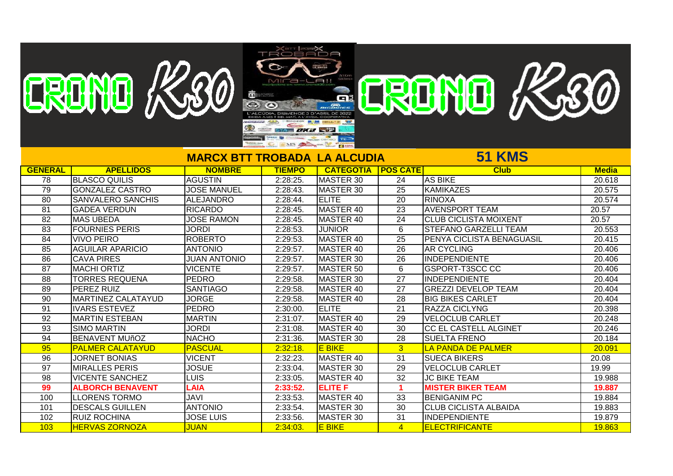|                 | EREINE K20                |                          |                    |                           |                 |                              |              |
|-----------------|---------------------------|--------------------------|--------------------|---------------------------|-----------------|------------------------------|--------------|
|                 |                           |                          |                    | A!                        |                 | ERDNO K30                    |              |
|                 |                           |                          |                    |                           |                 |                              |              |
|                 |                           |                          |                    |                           |                 |                              |              |
|                 |                           |                          |                    |                           |                 |                              |              |
|                 |                           |                          |                    |                           |                 |                              |              |
|                 |                           |                          | <b>SYA DX2 STP</b> |                           |                 |                              |              |
|                 |                           |                          |                    | MS A ME                   |                 |                              |              |
|                 |                           | <b>MARCX BTT TROBADA</b> |                    | <b>LA ALCUDIA</b>         |                 | <b>51 KMS</b>                |              |
|                 |                           |                          |                    |                           |                 |                              |              |
| <b>GENERAL</b>  | <b>APELLIDOS</b>          | <b>NOMBRE</b>            | <b>TIEMPO</b>      | <b>CATEGOTIA POS CATE</b> |                 | <b>Club</b>                  | <b>Media</b> |
| 78              | <b>BLASCO QUILIS</b>      | <b>AGUSTIN</b>           | 2:28:25.           | MASTER 30                 | 24              | <b>AS BIKE</b>               | 20.618       |
| 79              | <b>GONZALEZ CASTRO</b>    | <b>JOSE MANUEL</b>       | 2:28:43.           | MASTER 30                 | $\overline{25}$ | <b>KAMIKAZES</b>             | 20.575       |
| 80              | <b>SANVALERO SANCHIS</b>  | <b>ALEJANDRO</b>         | 2:28:44            | <b>ELITE</b>              | 20              | <b>RINOXA</b>                | 20.574       |
| $\overline{81}$ | <b>GADEA VERDUN</b>       | <b>RICARDO</b>           | 2:28:45.           | MASTER 40                 | $\overline{23}$ | <b>AVENSPORT TEAM</b>        | 20.57        |
| $\overline{82}$ | <b>MAS UBEDA</b>          | <b>JOSE RAMON</b>        | 2:28:45            | MASTER 40                 | $\overline{24}$ | <b>CLUB CICLISTA MOIXENT</b> | 20.57        |
| $\overline{83}$ | <b>FOURNIES PERIS</b>     | <b>JORDI</b>             | 2:28:53.           | <b>JUNIOR</b>             | 6               | <b>STEFANO GARZELLI TEAM</b> | 20.553       |
| 84              | <b>VIVO PEIRO</b>         | <b>ROBERTO</b>           | 2:29:53            | <b>MASTER 40</b>          | $\overline{25}$ | PENYA CICLISTA BENAGUASIL    | 20.415       |
| 85              | <b>AGUILAR APARICIO</b>   | <b>ANTONIO</b>           | 2:29:57.           | <b>MASTER 40</b>          | $\overline{26}$ | <b>AR CYCLING</b>            | 20.406       |
| 86              | <b>CAVA PIRES</b>         | <b>JUAN ANTONIO</b>      | 2:29:57.           | MASTER 30                 | 26              | <b>INDEPENDIENTE</b>         | 20.406       |
| $\overline{87}$ | <b>MACHI ORTIZ</b>        | <b>VICENTE</b>           | 2:29:57.           | MASTER 50                 | 6               | GSPORT-T3SCC CC              | 20.406       |
| $\overline{88}$ | <b>TORRES REQUENA</b>     | <b>PEDRO</b>             | 2:29:58.           | MASTER 30                 | 27              | <b>INDEPENDIENTE</b>         | 20.404       |
| 89              | <b>PEREZ RUIZ</b>         | <b>SANTIAGO</b>          | 2:29:58.           | MASTER 40                 | $\overline{27}$ | <b>GREZZI DEVELOP TEAM</b>   | 20.404       |
| $\overline{90}$ | <b>MARTINEZ CALATAYUD</b> | <b>JORGE</b>             | 2:29:58.           | MASTER 40                 | $\overline{28}$ | <b>BIG BIKES CARLET</b>      | 20.404       |
| 91              | <b>IVARS ESTEVEZ</b>      | <b>PEDRO</b>             | 2:30:00.           | <b>ELITE</b>              | $\overline{21}$ | <b>RAZZA CICLYNG</b>         | 20.398       |
| $\overline{92}$ | <b>MARTIN ESTEBAN</b>     | <b>MARTIN</b>            | 2:31:07.           | <b>MASTER 40</b>          | 29              | <b>VELOCLUB CARLET</b>       | 20.248       |
| 93              | <b>SIMO MARTIN</b>        | <b>JORDI</b>             | 2:31:08.           | MASTER 40                 | 30              | CC EL CASTELL ALGINET        | 20.246       |
| 94              | <b>BENAVENT MUñOZ</b>     | <b>NACHO</b>             | 2:31:36.           | MASTER 30                 | 28              | <b>SUELTA FRENO</b>          | 20.184       |
| 95              | <b>PALMER CALATAYUD</b>   | <b>PASCUAL</b>           | 2:32:18            | <b>E BIKE</b>             | 3 <sup>1</sup>  | LA PANDA DE PALMER           | 20.091       |
| $\overline{96}$ | <b>JORNET BONIAS</b>      | <b>VICENT</b>            | 2:32:23.           | <b>MASTER 40</b>          | $\overline{31}$ | <b>SUECA BIKERS</b>          | 20.08        |
| 97              | <b>MIRALLES PERIS</b>     | <b>JOSUE</b>             | 2:33:04.           | <b>MASTER 30</b>          | 29              | <b>VELOCLUB CARLET</b>       | 19.99        |
| $\overline{98}$ | <b>VICENTE SANCHEZ</b>    | <b>LUIS</b>              | 2:33:05.           | <b>MASTER 40</b>          | $\overline{32}$ | <b>JC BIKE TEAM</b>          | 19.988       |
| 99              | <b>ALBORCH BENAVENT</b>   | <b>LAIA</b>              | 2:33:52.           | <b>ELITE F</b>            | 1               | <b>MISTER BIKER TEAM</b>     | 19.887       |
| 100             | <b>LLORENS TORMO</b>      | <b>JAVI</b>              | 2:33:53.           | MASTER 40                 | 33              | <b>BENIGANIM PC</b>          | 19.884       |
| 101             | <b>DESCALS GUILLEN</b>    | <b>ANTONIO</b>           | 2:33:54.           | MASTER 30                 | 30              | <b>CLUB CICLISTA ALBAIDA</b> | 19.883       |
| 102             | <b>RUIZ ROCHINA</b>       | <b>JOSE LUIS</b>         | 2:33:56.           | <b>MASTER 30</b>          | 31              | INDEPENDIENTE                | 19.879       |
| 103             | <b>HERVAS ZORNOZA</b>     | <b>JUAN</b>              | 2:34:03            | <b>E BIKE</b>             | $\overline{4}$  | <b>ELECTRIFICANTE</b>        | 19.863       |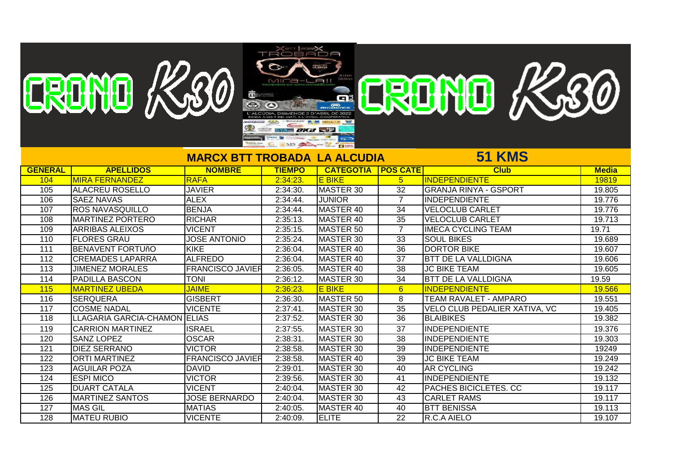|                  | ERDND K~80                   | 識                                   | <b>TROBADA</b><br>$MIT = -$<br><b>DKB</b> SP<br>MS A SALE |                           |                 | ERDND K30                     |              |
|------------------|------------------------------|-------------------------------------|-----------------------------------------------------------|---------------------------|-----------------|-------------------------------|--------------|
|                  |                              | <b>MARCX BTT TROBADA LA ALCUDIA</b> |                                                           |                           |                 | <b>51 KMS</b>                 |              |
| <b>GENERAL</b>   | <b>APELLIDOS</b>             | <b>NOMBRE</b>                       | <b>TIEMPO</b>                                             | <b>CATEGOTIA POS CATE</b> |                 | <b>Club</b>                   | <b>Media</b> |
| 104              | <b>MIRA FERNANDEZ</b>        | <b>RAFA</b>                         | 2:34:23                                                   | <b>E BIKE</b>             | 5 <sup>5</sup>  | <b>INDEPENDIENTE</b>          | 19819        |
| 105              | <b>ALACREU ROSELLO</b>       | <b>JAVIER</b>                       | 2:34:30.                                                  | <b>MASTER 30</b>          | $\overline{32}$ | <b>GRANJA RINYA - GSPORT</b>  | 19.805       |
| 106              | <b>SAEZ NAVAS</b>            | <b>ALEX</b>                         | 2:34:44.                                                  | <b>JUNIOR</b>             | $\overline{7}$  | <b>INDEPENDIENTE</b>          | 19.776       |
| 107              | <b>ROS NAVASQUILLO</b>       | <b>BENJA</b>                        | 2:34:44                                                   | MASTER 40                 | 34              | <b>VELOCLUB CARLET</b>        | 19.776       |
| 108              | <b>MARTINEZ PORTERO</b>      | <b>RICHAR</b>                       | 2:35:13                                                   | MASTER 40                 | $\overline{35}$ | <b>VELOCLUB CARLET</b>        | 19.713       |
| 109              | <b>ARRIBAS ALEIXOS</b>       | <b>VICENT</b>                       | 2:35:15                                                   | MASTER 50                 | $\overline{7}$  | <b>IMECA CYCLING TEAM</b>     | 19.71        |
| $\overline{110}$ | <b>FLORES GRAU</b>           | <b>JOSE ANTONIO</b>                 | 2:35:24                                                   | MASTER 30                 | 33              | <b>SOUL BIKES</b>             | 19.689       |
| 111              | <b>BENAVENT FORTUñO</b>      | KIKE                                | 2:36:04                                                   | <b>MASTER 40</b>          | $\overline{36}$ | <b>DORTOR BIKE</b>            | 19.607       |
| $\overline{112}$ | <b>CREMADES LAPARRA</b>      | <b>ALFREDO</b>                      | 2:36:04                                                   | <b>MASTER 40</b>          | $\overline{37}$ | <b>BTT DE LA VALLDIGNA</b>    | 19.606       |
| 113              | <b>JIMENEZ MORALES</b>       | <b>FRANCISCO JAVIER</b>             | 2:36:05                                                   | MASTER 40                 | 38              | <b>JC BIKE TEAM</b>           | 19.605       |
| 114              | <b>PADILLA BASCON</b>        | <b>TONI</b>                         | 2:36:12.                                                  | MASTER 30                 | 34              | <b>BTT DE LA VALLDIGNA</b>    | 19.59        |
| 115              | <b>MARTINEZ UBEDA</b>        | <b>JAIME</b>                        | 2:36:23                                                   | <b>E BIKE</b>             | 6 <sup>1</sup>  | <b>INDEPENDIENTE</b>          | 19.566       |
| 116              | <b>SERQUERA</b>              | <b>GISBERT</b>                      | 2:36:30                                                   | MASTER 50                 | 8               | <b>TEAM RAVALET - AMPARO</b>  | 19.551       |
| 117              | <b>COSME NADAL</b>           | <b>VICENTE</b>                      | 2:37:41                                                   | MASTER 30                 | 35              | VELO CLUB PEDALIER XATIVA, VC | 19.405       |
| 118              | LLAGARIA GARCIA-CHAMON ELIAS |                                     | 2:37:52                                                   | MASTER 30                 | $\overline{36}$ | <b>BLAIBIKES</b>              | 19.382       |
| 119              | <b>CARRION MARTINEZ</b>      | <b>ISRAEL</b>                       | 2:37:55.                                                  | MASTER 30                 | 37              | <b>INDEPENDIENTE</b>          | 19.376       |
| 120              | <b>SANZ LOPEZ</b>            | <b>OSCAR</b>                        | 2:38:31                                                   | MASTER 30                 | 38              | INDEPENDIENTE                 | 19.303       |
| 121              | <b>DIEZ SERRANO</b>          | <b>VICTOR</b>                       | 2:38:58                                                   | <b>MASTER 30</b>          | $\overline{39}$ | IINDEPENDIENTE                | 19249        |
| 122              | <b>ORTI MARTINEZ</b>         | <b>FRANCISCO JAVIER</b>             | 2:38:58                                                   | <b>MASTER 40</b>          | 39              | <b>JC BIKE TEAM</b>           | 19.249       |
| 123              | <b>AGUILAR POZA</b>          | <b>DAVID</b>                        | 2:39:01                                                   | MASTER 30                 | 40              | <b>AR CYCLING</b>             | 19.242       |
| 124              | <b>ESPI MICO</b>             | <b>VICTOR</b>                       | 2:39:56                                                   | MASTER 30                 | 41              | IINDEPENDIENTE                | 19.132       |
| 125              | <b>DUART CATALA</b>          | <b>VICENT</b>                       | 2:40:04.                                                  | MASTER 30                 | 42              | <b>PACHES BICICLETES. CC</b>  | 19.117       |
| 126              | <b>MARTINEZ SANTOS</b>       | <b>JOSE BERNARDO</b>                | 2:40:04.                                                  | MASTER 30                 | $\overline{43}$ | <b>CARLET RAMS</b>            | 19.117       |

 MAS GIL MATIAS 2:40:05. MASTER 40 40 BTT BENISSA 19.113 128 |MATEU RUBIO |VICENTE 2:40:09. |ELITE |R.C.A AIELO | 19.107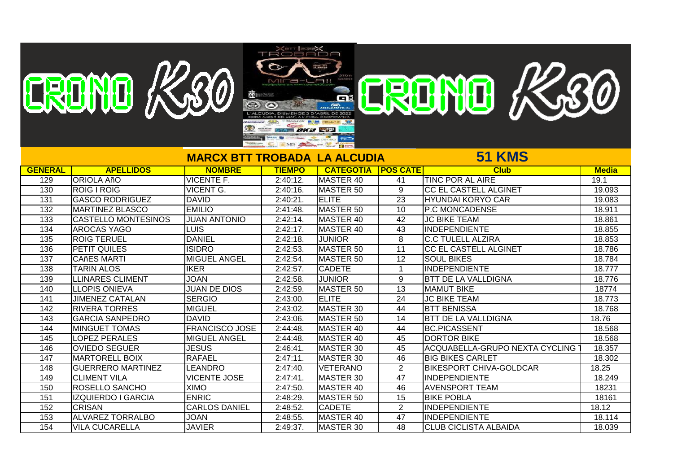|                  |                            |                                     | $\frac{1}{2}$<br>TROBADA |                           |                 |                                       |              |
|------------------|----------------------------|-------------------------------------|--------------------------|---------------------------|-----------------|---------------------------------------|--------------|
|                  | ERDNO K.80                 |                                     |                          |                           |                 |                                       |              |
|                  |                            |                                     | MICa-LAII                |                           |                 | ERENTE K500                           |              |
|                  |                            | 竈                                   |                          |                           |                 |                                       |              |
|                  |                            |                                     |                          |                           |                 |                                       |              |
|                  |                            |                                     |                          |                           |                 |                                       |              |
|                  |                            |                                     |                          |                           |                 |                                       |              |
|                  |                            |                                     | <b>SYA DXB STP</b>       |                           |                 |                                       |              |
|                  |                            |                                     |                          | MS A B                    |                 |                                       |              |
|                  |                            |                                     |                          |                           |                 | <b>51 KMS</b>                         |              |
|                  |                            | <b>MARCX BTT TROBADA LA ALCUDIA</b> |                          |                           |                 |                                       |              |
| <b>GENERAL</b>   | <b>APELLIDOS</b>           | <b>NOMBRE</b>                       | <b>TIEMPO</b>            | <b>CATEGOTIA POS CATE</b> |                 | <b>Club</b>                           | <b>Media</b> |
| 129              | <b>ORIOLA AñO</b>          | <b>VICENTE F.</b>                   | 2:40:12.                 | <b>MASTER 40</b>          | 41              | <b>TINC POR AL AIRE</b>               | 19.1         |
| 130              | <b>ROIG I ROIG</b>         | <b>VICENT G.</b>                    | 2:40:16.                 | MASTER 50                 | 9               | <b>CC EL CASTELL ALGINET</b>          | 19.093       |
| 131              | <b>GASCO RODRIGUEZ</b>     | <b>DAVID</b>                        | 2:40:21                  | <b>ELITE</b>              | $\overline{23}$ | <b>HYUNDAI KORYO CAR</b>              | 19.083       |
| $\overline{132}$ | <b>MARTINEZ BLASCO</b>     | <b>EMILIO</b>                       | 2:41:48.                 | <b>MASTER 50</b>          | 10              | <b>P.C MONCADENSE</b>                 | 18.911       |
| 133              | <b>CASTELLO MONTESINOS</b> | <b>JUAN ANTONIO</b>                 | 2:42:14.                 | MASTER 40                 | 42              | <b>JC BIKE TEAM</b>                   | 18.861       |
| 134              | <b>AROCAS YAGO</b>         | <b>LUIS</b>                         | 2:42:17.                 | MASTER 40                 | 43              | <b>INDEPENDIENTE</b>                  | 18.855       |
| 135              | <b>ROIG TERUEL</b>         | <b>DANIEL</b>                       | 2:42:18                  | <b>JUNIOR</b>             | 8               | <b>C.C TULELL ALZIRA</b>              | 18.853       |
| 136              | <b>PETIT QUILES</b>        | <b>ISIDRO</b>                       | 2:42:53                  | MASTER 50                 | 11              | <b>CC EL CASTELL ALGINET</b>          | 18.786       |
| 137              | <b>CAñES MARTI</b>         | <b>MIGUEL ANGEL</b>                 | 2:42:54.                 | MASTER 50                 | 12              | <b>SOUL BIKES</b>                     | 18.784       |
| 138              | <b>TARIN ALOS</b>          | <b>IKER</b>                         | 2:42:57.                 | <b>CADETE</b>             | $\mathbf 1$     | <b>INDEPENDIENTE</b>                  | 18.777       |
| 139              | <b>LLINARES CLIMENT</b>    | <b>JOAN</b>                         | 2:42:58.                 | <b>JUNIOR</b>             | 9               | <b>BTT DE LA VALLDIGNA</b>            | 18.776       |
| 140              | <b>LLOPIS ONIEVA</b>       | <b>JUAN DE DIOS</b>                 | 2:42:59.                 | MASTER 50                 | $\overline{13}$ | <b>MAMUT BIKE</b>                     | 18774        |
| 141              | <b>JIMENEZ CATALAN</b>     | <b>SERGIO</b>                       | 2:43:00                  | <b>ELITE</b>              | $\overline{24}$ | <b>JC BIKE TEAM</b>                   | 18.773       |
| 142              | <b>RIVERA TORRES</b>       | <b>MIGUEL</b>                       | 2:43:02.                 | MASTER 30                 | 44              | <b>BTT BENISSA</b>                    | 18.768       |
| 143              | <b>GARCIA SANPEDRO</b>     | <b>DAVID</b>                        | 2:43:06.                 | MASTER 50                 | 14              | <b>BTT DE LA VALLDIGNA</b>            | 18.76        |
| 144              | <b>MINGUET TOMAS</b>       | <b>FRANCISCO JOSE</b>               | 2:44:48.                 | MASTER 40                 | 44              | <b>BC.PICASSENT</b>                   | 18.568       |
| 145              | <b>LOPEZ PERALES</b>       | MIGUEL ANGEL                        | 2:44:48.                 | MASTER 40                 | 45              | <b>DORTOR BIKE</b>                    | 18.568       |
| 146              | <b>OVIEDO SEGUER</b>       | <b>JESUS</b>                        | 2:46:41.                 | MASTER 30                 | 45              | <b>ACQUABELLA-GRUPO NEXTA CYCLING</b> | 18.357       |
| $\overline{147}$ | <b>MARTORELL BOIX</b>      | <b>RAFAEL</b>                       | 2:47:11.                 | MASTER 30                 | 46              | <b>BIG BIKES CARLET</b>               | 18.302       |
| 148              | <b>GUERRERO MARTINEZ</b>   | <b>LEANDRO</b>                      | 2:47:40.                 | <b>VETERANO</b>           | $\overline{2}$  | <b>BIKESPORT CHIVA-GOLDCAR</b>        | 18.25        |
| 149              | <b>CLIMENT VILA</b>        | <b>VICENTE JOSE</b>                 | 2:47:41                  | MASTER 30                 | 47              | <b>INDEPENDIENTE</b>                  | 18.249       |
| 150              | ROSELLO SANCHO             | <b>XIMO</b>                         | 2:47:50.                 | MASTER 40                 | 46              | <b>AVENSPORT TEAM</b>                 | 18231        |
| 151              | <b>IZQUIERDO I GARCIA</b>  | <b>ENRIC</b>                        | 2:48:29.                 | MASTER 50                 | 15              | <b>BIKE POBLA</b>                     | 18161        |
| 152              | <b>CRISAN</b>              | <b>CARLOS DANIEL</b>                | 2:48:52.                 | <b>CADETE</b>             | $\overline{2}$  | <b>INDEPENDIENTE</b>                  | 18.12        |
| 153              | <b>ALVAREZ TORRALBO</b>    | <b>JOAN</b>                         | 2:48:55.                 | MASTER 40                 | 47              | INDEPENDIENTE                         | 18.114       |
| 154              | <b>VILA CUCARELLA</b>      | <b>JAVIER</b>                       | 2:49:37.                 | MASTER 30                 | 48              | <b>CLUB CICLISTA ALBAIDA</b>          | 18.039       |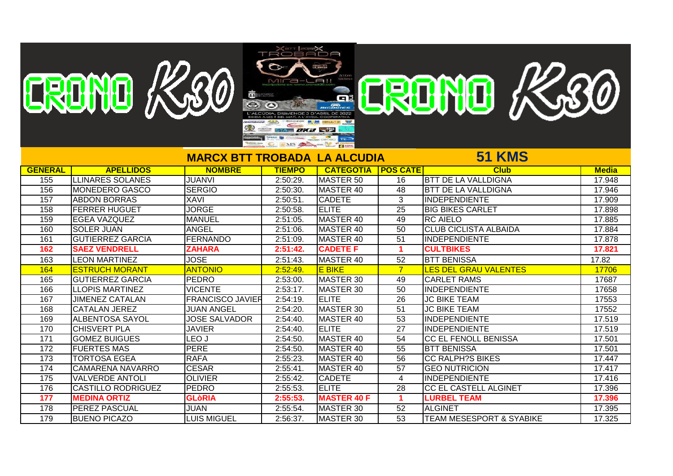|                 | EREINE K20                |                          |                 |                             |                      |                                     |              |
|-----------------|---------------------------|--------------------------|-----------------|-----------------------------|----------------------|-------------------------------------|--------------|
|                 |                           |                          | MICa-Lall       |                             |                      | CRONO K30                           |              |
|                 |                           | 識                        |                 |                             |                      |                                     |              |
|                 |                           |                          |                 |                             |                      |                                     |              |
|                 |                           |                          |                 |                             |                      |                                     |              |
|                 |                           |                          |                 |                             |                      |                                     |              |
|                 |                           | ⊕                        | $A = OKB$       |                             |                      |                                     |              |
|                 |                           |                          | MS A MARINE LAW |                             |                      |                                     |              |
|                 |                           |                          |                 |                             |                      | <b>51 KMS</b>                       |              |
|                 |                           | <b>MARCX BTT TROBADA</b> |                 | <b>LA ALCUDIA</b>           |                      |                                     |              |
| <b>GENERAL</b>  | <b>APELLIDOS</b>          | <b>NOMBRE</b>            | <b>TIEMPO</b>   | <b>CATEGOTIA   POS CATE</b> |                      | <b>Club</b>                         | <b>Media</b> |
| 155             | <b>LLINARES SOLANES</b>   | <b>JUANVI</b>            | 2:50:29.        | MASTER 50                   | 16                   | <b>BTT DE LA VALLDIGNA</b>          | 17.948       |
| 156             | <b>MONEDERO GASCO</b>     | <b>SERGIO</b>            | 2:50:30.        | MASTER 40                   | 48                   | <b>BTT DE LA VALLDIGNA</b>          | 17.946       |
| 157             | <b>ABDON BORRAS</b>       | <b>XAVI</b>              | 2:50:51         | <b>CADETE</b>               | 3                    | INDEPENDIENTE                       | 17.909       |
| 158             | <b>FERRER HUGUET</b>      | <b>JORGE</b>             | 2:50:58         | <b>ELITE</b>                | $\overline{25}$      | <b>BIG BIKES CARLET</b>             | 17.898       |
| 159             | <b>EGEA VAZQUEZ</b>       | <b>IMANUEL</b>           | 2:51:05.        | MASTER 40                   | 49                   | <b>RC AIELO</b>                     | 17.885       |
| 160             | <b>SOLER JUAN</b>         | <b>ANGEL</b>             | 2:51:06.        | MASTER 40                   | 50                   | <b>CLUB CICLISTA ALBAIDA</b>        | 17.884       |
| 161             | <b>GUTIERREZ GARCIA</b>   | <b>FERNANDO</b>          | 2:51:09.        | MASTER 40                   | $\overline{51}$      | <b>INDEPENDIENTE</b>                | 17.878       |
| 162             | <b>SAEZ VENDRELL</b>      | <b>ZAHARA</b>            | 2:51:42         | <b>CADETE F</b>             | $\mathbf{1}$         | <b>CULTBIKES</b>                    | 17.821       |
| 163             | <b>LEON MARTINEZ</b>      | <b>JOSE</b>              | 2:51:43.        | <b>MASTER 40</b>            | 52                   | <b>BTT BENISSA</b>                  | 17.82        |
| 164             | <b>ESTRUCH MORANT</b>     | <b>ANTONIO</b>           | 2:52:49         | <b>E BIKE</b>               | $\overline{7}$       | <b>LES DEL GRAU VALENTES</b>        | 17706        |
| 165             | <b>GUTIERREZ GARCIA</b>   | PEDRO                    | 2:53:00         | MASTER 30                   | 49                   | <b>CARLET RAMS</b>                  | 17687        |
| 166             | <b>LLOPIS MARTINEZ</b>    | <b>VICENTE</b>           | 2:53:17.        | MASTER 30                   | $\overline{50}$      | <b>INDEPENDIENTE</b>                | 17658        |
| 167             | <b>JIMENEZ CATALAN</b>    | <b>FRANCISCO JAVIER</b>  | 2:54:19.        | <b>ELITE</b>                | $\overline{26}$      | <b>JC BIKE TEAM</b>                 | 17553        |
| 168             | <b>CATALAN JEREZ</b>      | <b>JUAN ANGEL</b>        | 2:54:20.        | MASTER 30                   | 51                   | <b>JC BIKE TEAM</b>                 | 17552        |
| 169             | <b>ALBENTOSA SAYOL</b>    | <b>JOSE SALVADOR</b>     | 2:54:40         | MASTER 40                   | 53                   | <b>INDEPENDIENTE</b>                | 17.519       |
| 170             | <b>CHISVERT PLA</b>       | <b>JAVIER</b>            | 2:54:40.        | <b>ELITE</b>                | $\overline{27}$      | INDEPENDIENTE                       | 17.519       |
| 171             | <b>GOMEZ BUIGUES</b>      | LEO J                    | 2:54:50.        | MASTER 40                   | 54                   | <b>CC EL FENOLL BENISSA</b>         | 17.501       |
| 172             | <b>FUERTES MAS</b>        | PERE                     | 2:54:50.        | MASTER 40                   | 55                   | <b>BTT BENISSA</b>                  | 17.501       |
| 173             | <b>TORTOSA EGEA</b>       | <b>RAFA</b>              | 2:55:23         | MASTER 40                   | $\overline{56}$      | <b>CC RALPH?S BIKES</b>             | 17.447       |
| 174             | <b>CAMARENA NAVARRO</b>   | <b>CESAR</b>             | 2:55:41         | MASTER 40                   | 57                   | <b>GEO NUTRICION</b>                | 17.417       |
| $\frac{175}{2}$ | <b>VALVERDE ANTOLI</b>    | <b>OLIVIER</b>           | 2:55:42         | <b>CADETE</b>               | 4                    | <b>INDEPENDIENTE</b>                | 17.416       |
| 176             | <b>CASTILLO RODRIGUEZ</b> | PEDRO                    | 2:55:53         | <b>ELITE</b>                | 28                   | CC EL CASTELL ALGINET               | 17.396       |
| 177             | <b>MEDINA ORTIZ</b>       | <b>GLòRIA</b>            | 2:55:53.        | <b>MASTER 40 F</b>          | $\blacktriangleleft$ | <b>LURBEL TEAM</b>                  | 17.396       |
| 178             | PEREZ PASCUAL             | <b>JUAN</b>              | 2:55:54         | MASTER 30                   | 52                   | <b>ALGINET</b>                      | 17.395       |
| 179             | <b>BUENO PICAZO</b>       | <b>LUIS MIGUEL</b>       | 2:56:37.        | MASTER 30                   | $\overline{53}$      | <b>TEAM MESESPORT &amp; SYABIKE</b> | 17.325       |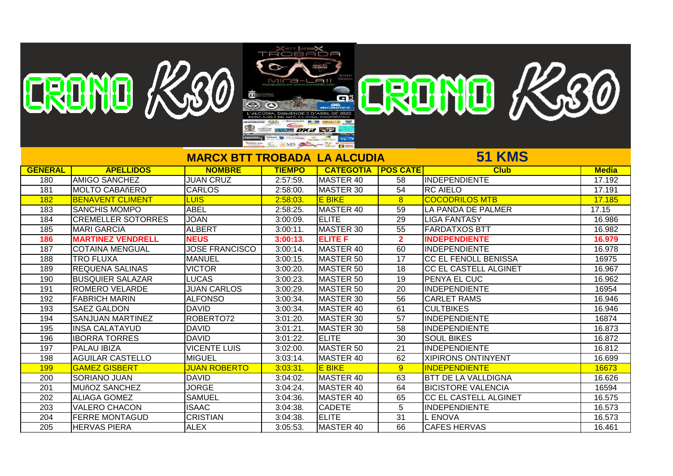|                  | TROBADA<br>ERDNO K.30<br><b>ERDNO K.80</b><br>MICa-LAII<br>靄<br>$\bigcirc$<br>SYA DKB ST<br>MS A CALCOM |                                     |               |                  |                 |                              |              |  |  |  |
|------------------|---------------------------------------------------------------------------------------------------------|-------------------------------------|---------------|------------------|-----------------|------------------------------|--------------|--|--|--|
|                  |                                                                                                         | <b>MARCX BTT TROBADA LA ALCUDIA</b> |               |                  |                 | <b>51 KMS</b>                |              |  |  |  |
| <b>GENERAL</b>   | <b>APELLIDOS</b>                                                                                        | <b>NOMBRE</b>                       | <b>TIEMPO</b> | <b>CATEGOTIA</b> | <b>POS CATE</b> | <b>Club</b>                  | <b>Media</b> |  |  |  |
| 180              | <b>AMIGO SANCHEZ</b>                                                                                    | <b>JUAN CRUZ</b>                    | 2:57:59.      | MASTER 40        | $\overline{58}$ | INDEPENDIENTE                | 17.192       |  |  |  |
| 181              | <b>MOLTO CABAñERO</b>                                                                                   | <b>CARLOS</b>                       | 2:58:00.      | MASTER 30        | 54              | <b>RC AIELO</b>              | 17.191       |  |  |  |
| 182              | <b>BENAVENT CLIMENT</b>                                                                                 | <b>LUIS</b>                         | 2:58:03.      | <b>E BIKE</b>    | 8               | <b>COCODRILOS MTB</b>        | 17.185       |  |  |  |
| 183              | <b>SANCHIS MOMPO</b>                                                                                    | <b>ABEL</b>                         | 2:58:25.      | MASTER 40        | 59              | LA PANDA DE PALMER           | 17.15        |  |  |  |
| 184              | <b>CREMELLER SOTORRES</b>                                                                               | <b>JOAN</b>                         | 3:00:09.      | <b>ELITE</b>     | 29              | <b>LIGA FANTASY</b>          | 16.986       |  |  |  |
| 185              | <b>MARI GARCIA</b>                                                                                      | <b>ALBERT</b>                       | 3:00:11.      | MASTER 30        | $\overline{55}$ | <b>FARDATXOS BTT</b>         | 16.982       |  |  |  |
| 186              | <b>MARTINEZ VENDRELL</b>                                                                                | <b>NEUS</b>                         | 3:00:13.      | <b>ELITE F</b>   | $\overline{2}$  | <b>INDEPENDIENTE</b>         | 16.979       |  |  |  |
| 187              | <b>COTAINA MENGUAL</b>                                                                                  | <b>JOSE FRANCISCO</b>               | $3:00:14$ .   | MASTER 40        | 60              | <b>INDEPENDIENTE</b>         | 16.978       |  |  |  |
| 188              | <b>TRO FLUXA</b>                                                                                        | <b>MANUEL</b>                       | $3:00:15$ .   | MASTER 50        | 17              | <b>CC EL FENOLL BENISSA</b>  | 16975        |  |  |  |
| 189              | <b>REQUENA SALINAS</b>                                                                                  | <b>VICTOR</b>                       | 3:00:20.      | MASTER 50        | $\overline{18}$ | <b>CC EL CASTELL ALGINET</b> | 16.967       |  |  |  |
| 190              | <b>BUSQUIER SALAZAR</b>                                                                                 | <b>LUCAS</b>                        | 3:00:23.      | MASTER 50        | 19              | PENYA EL CUC                 | 16.962       |  |  |  |
| 191              | <b>ROMERO VELARDE</b>                                                                                   | <b>JUAN CARLOS</b>                  | 3:00:29.      | MASTER 50        | 20              | <b>INDEPENDIENTE</b>         | 16954        |  |  |  |
| 192              | <b>FABRICH MARIN</b>                                                                                    | <b>ALFONSO</b>                      | 3:00:34.      | MASTER 30        | 56              | <b>CARLET RAMS</b>           | 16.946       |  |  |  |
| 193              | <b>SAEZ GALDON</b>                                                                                      | <b>DAVID</b>                        | 3:00:34.      | MASTER 40        | 61              | <b>CULTBIKES</b>             | 16.946       |  |  |  |
| 194              | <b>SANJUAN MARTINEZ</b>                                                                                 | ROBERTO72                           | 3:01:20.      | MASTER 30        | 57              | <b>INDEPENDIENTE</b>         | 16874        |  |  |  |
| 195              | <b>INSA CALATAYUD</b>                                                                                   | <b>DAVID</b>                        | 3:01:21.      | MASTER 30        | $\overline{58}$ | INDEPENDIENTE                | 16.873       |  |  |  |
| 196              | <b>IBORRA TORRES</b>                                                                                    | <b>DAVID</b>                        | 3:01:22.      | <b>ELITE</b>     | $\overline{30}$ | <b>SOUL BIKES</b>            | 16.872       |  |  |  |
| 197              | <b>PALAU IBIZA</b>                                                                                      | <b>VICENTE LUIS</b>                 | 3:02:00       | MASTER 50        | $\overline{21}$ | <b>INDEPENDIENTE</b>         | 16.812       |  |  |  |
| 198              | <b>AGUILAR CASTELLO</b>                                                                                 | <b>MIGUEL</b>                       | 3:03:14.      | MASTER 40        | 62              | <b>XIPIRONS ONTINYENT</b>    | 16.699       |  |  |  |
| 199              | <b>GAMEZ GISBERT</b>                                                                                    | <b>JUAN ROBERTO</b>                 | 3:03:31.      | <b>E BIKE</b>    | 9               | <b>INDEPENDIENTE</b>         | 16673        |  |  |  |
| 200              | <b>SORIANO JUAN</b>                                                                                     | <b>DAVID</b>                        | $3:04:02$ .   | MASTER 40        | 63              | <b>BTT DE LA VALLDIGNA</b>   | 16.626       |  |  |  |
| $\overline{201}$ | <b>MUñOZ SANCHEZ</b>                                                                                    | <b>JORGE</b>                        | 3:04:24.      | MASTER 40        | 64              | <b>BICISTORE VALENCIA</b>    | 16594        |  |  |  |
| 202              | <b>ALIAGA GOMEZ</b>                                                                                     | <b>SAMUEL</b>                       | 3:04:36.      | MASTER 40        | 65              | CC EL CASTELL ALGINET        | 16.575       |  |  |  |
| $\overline{203}$ | <b>VALERO CHACON</b>                                                                                    | <b>ISAAC</b>                        | 3:04:38.      | <b>CADETE</b>    | $\overline{5}$  | INDEPENDIENTE                | 16.573       |  |  |  |
| 204              | <b>FERRE MONTAGUD</b>                                                                                   | <b>CRISTIAN</b>                     | 3:04:38.      | <b>ELITE</b>     | $\overline{31}$ | <b>L ENOVA</b>               | 16.573       |  |  |  |
| 205              | <b>HERVAS PIERA</b>                                                                                     | <b>ALEX</b>                         | 3:05:53.      | MASTER 40        | 66              | <b>CAFES HERVAS</b>          | 16.461       |  |  |  |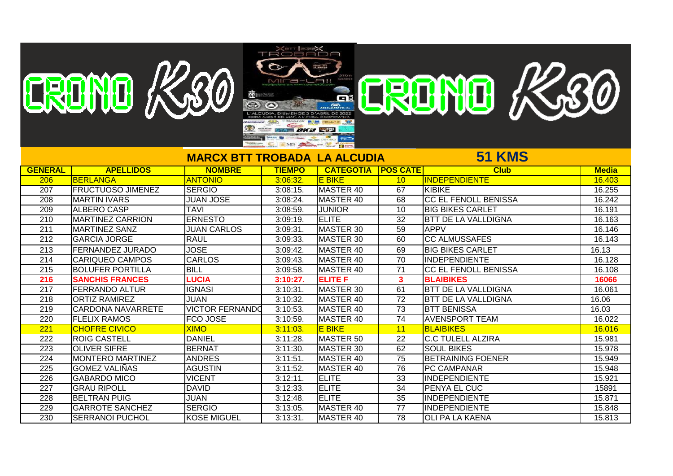|                  | ERDNO K.80               | 畵                                   | <b>TROBADA</b><br>MICa-LAII<br><b>SYA DIXES</b> | $\frac{1}{\sqrt{2}}\frac{\left(1-\frac{1}{2}\right)\left(1-\frac{1}{2}\right)}{\left(1-\frac{1}{2}\right)\left(1-\frac{1}{2}\right)}$<br>G |                 | ERDND K30                   |              |
|------------------|--------------------------|-------------------------------------|-------------------------------------------------|--------------------------------------------------------------------------------------------------------------------------------------------|-----------------|-----------------------------|--------------|
|                  |                          | <b>MARCX BTT TROBADA LA ALCUDIA</b> | C INS A CH                                      | $\frac{1}{100}$ $\frac{1}{100}$                                                                                                            |                 | <b>51 KMS</b>               |              |
| <b>GENERAL</b>   | <b>APELLIDOS</b>         | <b>NOMBRE</b>                       | <b>TIEMPO</b>                                   | <b>CATEGOTIA</b>                                                                                                                           | <b>POS CATE</b> | <b>Club</b>                 | <b>Media</b> |
| 206              | <b>BERLANGA</b>          | <b>ANTONIO</b>                      | 3:06:32.                                        | <b>E BIKE</b>                                                                                                                              | 10              | <b>INDEPENDIENTE</b>        | 16.403       |
| 207              | <b>FRUCTUOSO JIMENEZ</b> | <b>SERGIO</b>                       | 3:08:15.                                        | MASTER 40                                                                                                                                  | 67              | <b>KIBIKE</b>               | 16.255       |
| 208              | <b>MARTIN IVARS</b>      | <b>JUAN JOSE</b>                    | 3:08:24.                                        | MASTER 40                                                                                                                                  | 68              | <b>CC EL FENOLL BENISSA</b> | 16.242       |
| 209              | ALBERO CASP              | <b>TAVI</b>                         | 3:08:59.                                        | <b>JUNIOR</b>                                                                                                                              | 10              | <b>BIG BIKES CARLET</b>     | 16.191       |
| 210              | <b>MARTINEZ CARRION</b>  | <b>ERNESTO</b>                      | 3:09:19.                                        | <b>ELITE</b>                                                                                                                               | 32              | <b>BTT DE LA VALLDIGNA</b>  | 16.163       |
| 211              | <b>MARTINEZ SANZ</b>     | <b>JUAN CARLOS</b>                  | 3:09:31                                         | MASTER 30                                                                                                                                  | 59              | <b>APPV</b>                 | 16.146       |
| 212              | <b>GARCIA JORGE</b>      | <b>RAUL</b>                         | 3:09:33.                                        | MASTER 30                                                                                                                                  | 60              | <b>CC ALMUSSAFES</b>        | 16.143       |
| 213              | <b>FERNANDEZ JURADO</b>  | <b>JOSE</b>                         | 3:09:42.                                        | MASTER 40                                                                                                                                  | 69              | <b>BIG BIKES CARLET</b>     | 16.13        |
| 214              | <b>CARIQUEO CAMPOS</b>   | <b>CARLOS</b>                       | 3:09:43.                                        | MASTER 40                                                                                                                                  | 70              | <b>INDEPENDIENTE</b>        | 16.128       |
| 215              | <b>BOLUFER PORTILLA</b>  | <b>BILL</b>                         | 3:09:58.                                        | MASTER 40                                                                                                                                  | 71              | CC EL FENOLL BENISSA        | 16.108       |
| 216              | <b>SANCHIS FRANCES</b>   | <b>LUCIA</b>                        | 3:10:27.                                        | <b>ELITE F</b>                                                                                                                             | $\mathbf{3}$    | <b>BLAIBIKES</b>            | 16066        |
| $\overline{217}$ | <b>FERRANDO ALTUR</b>    | <b>IGNASI</b>                       | 3:10:31                                         | MASTER 30                                                                                                                                  | 61              | <b>BTT DE LA VALLDIGNA</b>  | 16.061       |
| 218              | <b>ORTIZ RAMIREZ</b>     | <b>JUAN</b>                         | 3:10:32.                                        | MASTER 40                                                                                                                                  | 72              | <b>BTT DE LA VALLDIGNA</b>  | 16.06        |
| 219              | <b>CARDONA NAVARRETE</b> | <b>VICTOR FERNANDO</b>              | 3:10:53.                                        | MASTER 40                                                                                                                                  | 73              | <b>BTT BENISSA</b>          | 16.03        |
| 220              | <b>FLELIX RAMOS</b>      | FCO JOSE                            | 3:10:59.                                        | MASTER 40                                                                                                                                  | 74              | <b>AVENSPORT TEAM</b>       | 16.022       |
| 221              | <b>CHOFRE CIVICO</b>     | <b>XIMO</b>                         | 3:11:03                                         | <b>E BIKE</b>                                                                                                                              | 11              | <b>BLAIBIKES</b>            | 16.016       |
| 222              | <b>ROIG CASTELL</b>      | <b>DANIEL</b>                       | $3:11:28$ .                                     | MASTER 50                                                                                                                                  | 22              | <b>C.C TULELL ALZIRA</b>    | 15.981       |
| 223              | <b>OLIVER SIFRE</b>      | <b>BERNAT</b>                       | 3:11:30.                                        | MASTER 30                                                                                                                                  | 62              | <b>SOUL BIKES</b>           | 15.978       |
| 224              | <b>MONTERO MARTINEZ</b>  | <b>ANDRES</b>                       | 3:11:51                                         | MASTER 40                                                                                                                                  | 75              | <b>BETRAINING FOENER</b>    | 15.949       |
| 225              | <b>GOMEZ VALIÑAS</b>     | <b>AGUSTIN</b>                      | $3:11:52$ .                                     | MASTER 40                                                                                                                                  | 76              | PC CAMPANAR                 | 15.948       |

225 GOMEZ VALIÑAS | AGUSTIN | 3:11:52. MASTER 40 | 76 PC CAMPANAR | 15.948 | 15.948<br>226 | GABARDO MICO | VICENT | 3:12:11. | ELITE | 33 | INDEPENDIENTE | 15.921 | 15.921

 GRAU RIPOLL DAVID 3:12:33. ELITE 34 PENYA EL CUC 15891 BELTRAN PUIG JUAN 3:12:48. ELITE 35 INDEPENDIENTE 15.871 229 GARROTE SANCHEZ SERGIO 3:13:05. MASTER 40 77 INDEPENDIENTE 15.848<br>230 SERRANOI PUCHOL KOSE MIGUEL 3:13:31. MASTER 40 78 OLI PA LA KAENA 1 15.813 230 SERRANOI PUCHOL KOSE MIGUEL 3:13:31. MASTER 40 78 OLI PA LA KAENA 15.813

226 GABARDO MICO VICENT 3:12:11. ELITE 33 INDEPENDIENTE<br>227 GRAU RIPOLL DAVID 3:12:33. ELITE 34 PENYA EL CUC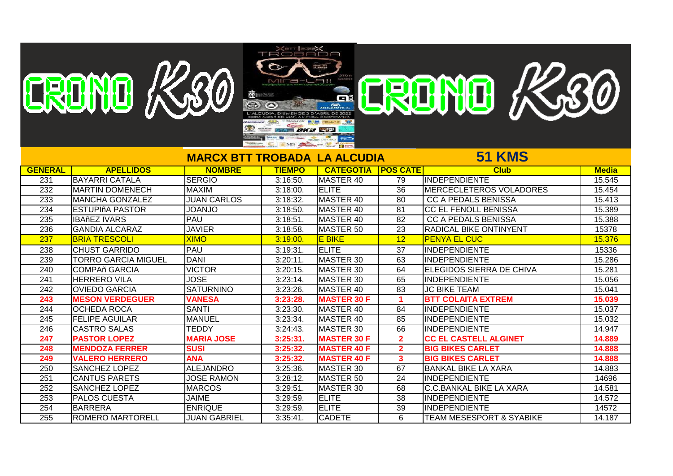|                  |                            |                                     | MICa-LAII          |                        |                      |                                     |              |
|------------------|----------------------------|-------------------------------------|--------------------|------------------------|----------------------|-------------------------------------|--------------|
|                  |                            | 闇⊧                                  |                    |                        |                      |                                     |              |
|                  |                            |                                     |                    |                        |                      |                                     |              |
|                  | ERDND K30                  |                                     |                    |                        |                      | ERDNO K30                           |              |
|                  |                            |                                     | <b>SYA DKB STA</b> |                        |                      |                                     |              |
|                  |                            |                                     |                    | $\overline{\text{re}}$ |                      |                                     |              |
|                  |                            |                                     | C INS A PLANT      |                        |                      |                                     |              |
|                  |                            | <b>MARCX BTT TROBADA LA ALCUDIA</b> |                    |                        |                      | <b>51 KMS</b>                       |              |
| <b>GENERAL</b>   | <b>APELLIDOS</b>           | <b>NOMBRE</b>                       | <b>TIEMPO</b>      | <b>CATEGOTIA</b>       | <b>POS CATE</b>      | <b>Club</b>                         | <b>Media</b> |
| 231              | <b>BAYARRI CATALA</b>      | <b>SERGIO</b>                       | 3:16:50.           | <b>MASTER 40</b>       | 79                   | <b>INDEPENDIENTE</b>                | 15.545       |
| 232              | <b>MARTIN DOMENECH</b>     | <b>MAXIM</b>                        | 3:18:00.           | <b>ELITE</b>           | $\overline{36}$      | <b>MERCECLETEROS VOLADORES</b>      | 15.454       |
| 233              | <b>MANCHA GONZALEZ</b>     | <b>JUAN CARLOS</b>                  | 3:18:32            | <b>MASTER 40</b>       | 80                   | <b>CC A PEDALS BENISSA</b>          | 15.413       |
| 234              | <b>ESTUPIñA PASTOR</b>     | <b>OLNAOL</b>                       | 3:18:50.           | MASTER 40              | 81                   | <b>CC EL FENOLL BENISSA</b>         | 15.389       |
| 235              | <b>IBAñEZ IVARS</b>        | <b>PAU</b>                          | 3:18:51            | MASTER 40              | 82                   | <b>CC A PEDALS BENISSA</b>          | 15.388       |
| 236              | <b>GANDIA ALCARAZ</b>      | <b>JAVIER</b>                       | 3:18:58.           | MASTER 50              | 23                   | <b>RADICAL BIKE ONTINYENT</b>       | 15378        |
| 237              | <b>BRIA TRESCOLI</b>       | <b>XIMO</b>                         | 3:19:00.           | <b>E BIKE</b>          | 12                   | <b>PENYA EL CUC</b>                 | 15.376       |
| 238              | <b>CHUST GARRIDO</b>       | <b>PAU</b>                          | 3:19:31.           | <b>ELITE</b>           | $\overline{37}$      | IINDEPENDIENTE                      | 15336        |
| 239              | <b>TORRO GARCIA MIGUEL</b> | <b>DANI</b>                         | $3:20:11$ .        | MASTER 30              | 63                   | INDEPENDIENTE                       | 15.286       |
| 240              | <b>COMPAñ GARCIA</b>       | <b>VICTOR</b>                       | 3:20:15            | MASTER 30              | 64                   | <b>ELEGIDOS SIERRA DE CHIVA</b>     | 15.281       |
| 241              | <b>HERRERO VILA</b>        | <b>JOSE</b>                         | $3:23:14$ .        | MASTER 30              | 65                   | IINDEPENDIENTE                      | 15.056       |
| 242              | <b>OVIEDO GARCIA</b>       | <b>SATURNINO</b>                    | 3:23:26.           | MASTER 40              | 83                   | <b>JC BIKE TEAM</b>                 | 15.041       |
| $\overline{243}$ | <b>MESON VERDEGUER</b>     | <b>VANESA</b>                       | 3:23:28            | <b>MASTER 30 F</b>     | $\blacktriangleleft$ | <b>BTT COLAITA EXTREM</b>           | 15.039       |
| 244              | <b>OCHEDA ROCA</b>         | <b>SANTI</b>                        | 3:23:30.           | MASTER 40              | 84                   | <b>INDEPENDIENTE</b>                | 15.037       |
| 245              | <b>FELIPE AGUILAR</b>      | <b>MANUEL</b>                       | 3:23:34.           | MASTER 40              | 85                   | <b>INDEPENDIENTE</b>                | 15.032       |
| $\overline{246}$ | <b>CASTRO SALAS</b>        | <b>TEDDY</b>                        | 3:24:43            | MASTER 30              | 66                   | <b>INDEPENDIENTE</b>                | 14.947       |
| 247              | <b>PASTOR LOPEZ</b>        | <b>MARIA JOSE</b>                   | 3:25:31.           | <b>MASTER 30 F</b>     | $\overline{2}$       | <b>CC EL CASTELL ALGINET</b>        | 14.889       |
| 248              | <b>MENDOZA FERRER</b>      | <b>SUSI</b>                         | 3:25:32.           | <b>MASTER 40 F</b>     | 2 <sup>1</sup>       | <b>BIG BIKES CARLET</b>             | 14.888       |
| 249              | <b>VALERO HERRERO</b>      | <b>ANA</b>                          | 3:25:32.           | <b>MASTER 40 F</b>     | $\mathbf{3}$         | <b>BIG BIKES CARLET</b>             | 14.888       |
| $\overline{250}$ | <b>SANCHEZ LOPEZ</b>       | <b>ALEJANDRO</b>                    | 3:25:36.           | MASTER 30              | 67                   | <b>BANKAL BIKE LA XARA</b>          | 14.883       |
| 251              | <b>CANTUS PARETS</b>       | <b>JOSE RAMON</b>                   | 3:28:12            | <b>MASTER 50</b>       | 24                   | INDEPENDIENTE                       | 14696        |
| 252              | <b>SANCHEZ LOPEZ</b>       | <b>MARCOS</b>                       | 3:29:51            | <b>MASTER 30</b>       | 68                   | <b>C.C.BANKAL BIKE LA XARA</b>      | 14.581       |
| 253              | <b>PALOS CUESTA</b>        | <b>JAIME</b>                        | 3:29:59.           | <b>ELITE</b>           | $\overline{38}$      | <b>INDEPENDIENTE</b>                | 14.572       |
| 254              | <b>BARRERA</b>             | <b>ENRIQUE</b>                      | 3:29:59.           | <b>ELITE</b>           | 39                   | <b>INDEPENDIENTE</b>                | 14572        |
| 255              | <b>ROMERO MARTORELL</b>    | <b>JUAN GABRIEL</b>                 | 3:35:41.           | <b>CADETE</b>          | 6                    | <b>TEAM MESESPORT &amp; SYABIKE</b> | 14.187       |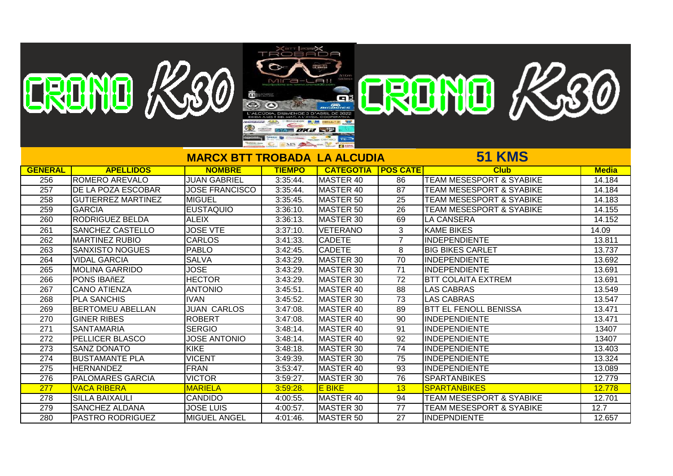|                  |                           |                                     | ӾѭӀ <del>҈</del><br>ӾѭӀ҈ <b>҈Ӿ</b> |                  |                 |                                     |              |
|------------------|---------------------------|-------------------------------------|------------------------------------|------------------|-----------------|-------------------------------------|--------------|
|                  | EREME K20                 |                                     |                                    |                  |                 |                                     |              |
|                  |                           |                                     |                                    | $-L$ $Al$        |                 | ERENTE KASO                         |              |
|                  |                           | 謂                                   |                                    |                  |                 |                                     |              |
|                  |                           |                                     |                                    | GI               |                 |                                     |              |
|                  |                           |                                     |                                    |                  |                 |                                     |              |
|                  |                           |                                     |                                    |                  |                 |                                     |              |
|                  |                           | ⊕                                   | SYA <b>DXX STP</b>                 |                  |                 |                                     |              |
|                  |                           |                                     | INS SA PARTIES                     |                  |                 |                                     |              |
|                  |                           | <b>MARCX BTT TROBADA LA ALCUDIA</b> |                                    |                  |                 | <b>51 KMS</b>                       |              |
| <b>GENERAL</b>   | <b>APELLIDOS</b>          | <b>NOMBRE</b>                       | <b>TIEMPO</b>                      | <b>CATEGOTIA</b> | <b>POS CATE</b> | <b>Club</b>                         | <b>Media</b> |
| 256              | <b>ROMERO AREVALO</b>     | <b>JUAN GABRIEL</b>                 | $3:35:44$ .                        | <b>MASTER 40</b> | 86              | <b>TEAM MESESPORT &amp; SYABIKE</b> | 14.184       |
| $\overline{257}$ | <b>DE LA POZA ESCOBAR</b> | <b>JOSE FRANCISCO</b>               | $3:35:44$ .                        | MASTER 40        | 87              | <b>TEAM MESESPORT &amp; SYABIKE</b> | 14.184       |
| 258              | <b>GUTIERREZ MARTINEZ</b> | <b>MIGUEL</b>                       | 3:35:45.                           | MASTER 50        | $\overline{25}$ | <b>TEAM MESESPORT &amp; SYABIKE</b> | 14.183       |
| 259              | <b>GARCIA</b>             | IEUSTAQUIO                          | 3:36:10.                           | MASTER 50        | 26              | <b>TEAM MESESPORT &amp; SYABIKE</b> | 14.155       |
| 260              | <b>RODRIGUEZ BELDA</b>    | <b>ALEIX</b>                        | 3:36:13.                           | MASTER 30        | 69              | <b>LA CANSERA</b>                   | 14.152       |
| 261              | <b>SANCHEZ CASTELLO</b>   | <b>JOSE VTE</b>                     | 3:37:10.                           | <b>VETERANO</b>  | 3               | <b>KAME BIKES</b>                   | 14.09        |
| 262              | <b>MARTINEZ RUBIO</b>     | <b>CARLOS</b>                       | 3:41:33.                           | <b>CADETE</b>    | $\overline{7}$  | <b>INDEPENDIENTE</b>                | 13.811       |
| 263              | <b>SANXISTO NOGUES</b>    | <b>PABLO</b>                        | $3:42:45$ .                        | <b>CADETE</b>    | 8               | <b>BIG BIKES CARLET</b>             | 13.737       |
| 264              | <b>VIDAL GARCIA</b>       | <b>SALVA</b>                        | 3:43:29.                           | MASTER 30        | $\overline{70}$ | <b>INDEPENDIENTE</b>                | 13.692       |
| 265              | <b>MOLINA GARRIDO</b>     | <b>JOSE</b>                         | 3:43:29.                           | <b>MASTER 30</b> | $\overline{71}$ | <b>INDEPENDIENTE</b>                | 13.691       |
| 266              | PONS IBAñEZ               | <b>HECTOR</b>                       | 3:43:29.                           | MASTER 30        | $\overline{72}$ | <b>BTT COLAITA EXTREM</b>           | 13.691       |
| 267              | <b>CANO ATIENZA</b>       | <b>ANTONIO</b>                      | 3:45:51                            | MASTER 40        | $\overline{88}$ | <b>LAS CABRAS</b>                   | 13.549       |
| 268              | <b>PLA SANCHIS</b>        | <b>IVAN</b>                         | 3:45:52.                           | MASTER 30        | 73              | <b>LAS CABRAS</b>                   | 13.547       |
| 269              | <b>BERTOMEU ABELLAN</b>   | <b>JUAN CARLOS</b>                  | 3:47:08                            | MASTER 40        | 89              | <b>BTT EL FENOLL BENISSA</b>        | 13.471       |
| 270              | <b>GINER RIBES</b>        | <b>ROBERT</b>                       | 3:47:08                            | MASTER 40        | 90              | INDEPENDIENTE                       | 13.471       |
| $\overline{271}$ | <b>SANTAMARIA</b>         | <b>SERGIO</b>                       | 3:48:14.                           | MASTER 40        | 91              | <b>INDEPENDIENTE</b>                | 13407        |
| 272              | PELLICER BLASCO           | <b>JOSE ANTONIO</b>                 | 3:48:14.                           | MASTER 40        | 92              | <b>INDEPENDIENTE</b>                | 13407        |
| $\overline{273}$ | <b>SANZ DONATO</b>        | <b>KIKE</b>                         | 3:48:18.                           | MASTER 30        | $\overline{74}$ | <b>INDEPENDIENTE</b>                | 13.403       |
| $\overline{274}$ | <b>BUSTAMANTE PLA</b>     | <b>VICENT</b>                       | 3:49:39.                           | MASTER 30        | $\overline{75}$ | <b>INDEPENDIENTE</b>                | 13.324       |
| 275              | <b>HERNANDEZ</b>          | FRAN                                | 3:53:47.                           | MASTER 40        | 93              | <b>INDEPENDIENTE</b>                | 13.089       |
| $\overline{276}$ | <b>PALOMARES GARCIA</b>   | <b>VICTOR</b>                       | 3:59:27.                           | MASTER 30        | 76              | <b>SPARTANBIKES</b>                 | 12.779       |
| 277              | <b>VACA RIBERA</b>        | <b>MARIELA</b>                      | 3:59:28.                           | <b>E BIKE</b>    | 13              | <b>SPARTANBIKES</b>                 | 12.778       |
| 278              | <b>SILLA BAIXAULI</b>     | <b>CANDIDO</b>                      | 4:00:55.                           | MASTER 40        | 94              | TEAM MESESPORT & SYABIKE            | 12.701       |
| 279              | <b>SANCHEZ ALDANA</b>     | <b>JOSE LUIS</b>                    | 4:00:57.                           | <b>MASTER 30</b> | 77              | <b>TEAM MESESPORT &amp; SYABIKE</b> | 12.7         |
| 280              | <b>PASTRO RODRIGUEZ</b>   | <b>MIGUEL ANGEL</b>                 | 4:01:46.                           | MASTER 50        | $\overline{27}$ | <b>INDEPNDIENTE</b>                 | 12.657       |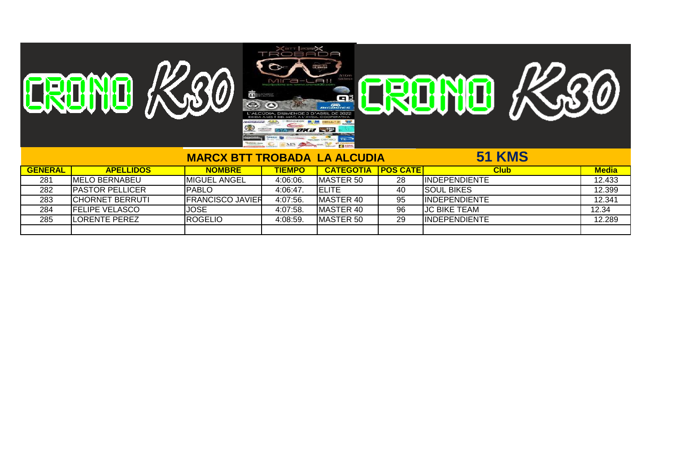| Û | $\Box$ $\ominus$<br><b>CONGRET INTO</b><br>51Krn<br>583m+<br>A!<br>$\boldsymbol{L}$<br><b><i>INCREDICTORY</i></b><br>謂<br><b>LINTAHERS</b><br>GË<br>$rac{60}{60}$<br>2022<br><b>DORERATIVA</b><br>$-350$<br><b>BIOPEGK</b><br><b><i>MAINSAC</i></b><br>$\bigcirc$<br>$\frac{1}{\sqrt{2}}\frac{1}{\sqrt{2}}\frac{1}{\sqrt{2}}\frac{1}{\sqrt{2}}\frac{1}{\sqrt{2}}\frac{1}{\sqrt{2}}\frac{1}{\sqrt{2}}\frac{1}{\sqrt{2}}\frac{1}{\sqrt{2}}\frac{1}{\sqrt{2}}\frac{1}{\sqrt{2}}\frac{1}{\sqrt{2}}\frac{1}{\sqrt{2}}\frac{1}{\sqrt{2}}\frac{1}{\sqrt{2}}\frac{1}{\sqrt{2}}\frac{1}{\sqrt{2}}\frac{1}{\sqrt{2}}\frac{1}{\sqrt{2}}\frac{1}{\sqrt{2}}\frac{1}{\sqrt{2}}\frac{1}{\sqrt{2}}$<br><b><i>YA DKU</i></b><br><b>Communication</b><br><b>CONSIDERED</b><br>IMS AND THE BINK<br>$B = -$ | $\boldsymbol{\mathcal{D}}$<br>U |
|---|-----------------------------------------------------------------------------------------------------------------------------------------------------------------------------------------------------------------------------------------------------------------------------------------------------------------------------------------------------------------------------------------------------------------------------------------------------------------------------------------------------------------------------------------------------------------------------------------------------------------------------------------------------------------------------------------------------------------------------------------------------------------------------------------|---------------------------------|
|   | MADOV DTT TRODADA I A ALQUDIA                                                                                                                                                                                                                                                                                                                                                                                                                                                                                                                                                                                                                                                                                                                                                           | EA IZMAC                        |

## **MARCX BTT TROBADA LA ALCUDIA 51 KMS**

| <b>GENERAL</b> | <b>APELLIDOS</b>        | <b>NOMBRE</b>            | <b>TIEMPO</b> | <b>CATEGOTIA</b>  | <b>POS CATE</b> | <b>Club</b>           | <b>Media</b> |
|----------------|-------------------------|--------------------------|---------------|-------------------|-----------------|-----------------------|--------------|
| 281            | IMELO BERNABEU          | <b>IMIGUEL ANGEL</b>     | 4:06:06.      | <b>IMASTER 50</b> | 28              | <b>IINDEPENDIENTE</b> | 12.433       |
| 282            | <b>IPASTOR PELLICER</b> | <b>PABLO</b>             | 4:06:47       | <b>IELITE</b>     | 40              | <b>ISOUL BIKES</b>    | 12.399       |
| 283            | <b>ICHORNET BERRUTI</b> | <b>IFRANCISCO JAVIER</b> | 4:07:56.      | <b>MASTER 40</b>  | 95              | <b>IINDEPENDIENTE</b> | 12.341       |
| 284            | <b>IFELIPE VELASCO</b>  | JOSE                     | 4:07:58.      | <b>IMASTER 40</b> | 96              | IJC BIKE TEAM         | 12.34        |
| 285            | <b>ILORENTE PEREZ</b>   | <b>IROGELIO</b>          | 4:08:59.      | <b>IMASTER 50</b> | 29              | <b>IINDEPENDIENTE</b> | 12.289       |
|                |                         |                          |               |                   |                 |                       |              |